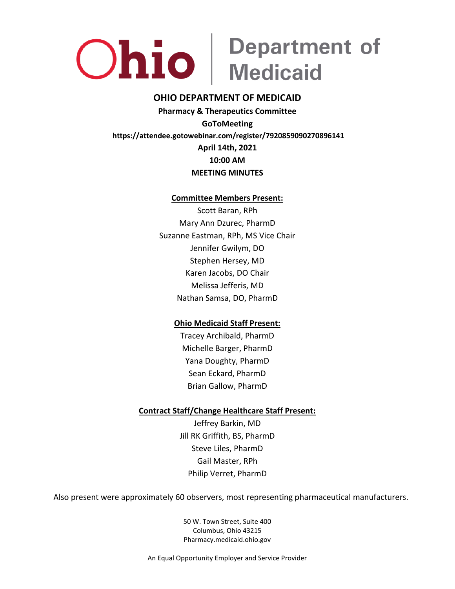

### **Ohio** Medicaid

#### **OHIO DEPARTMENT OF MEDICAID**

**Pharmacy & Therapeutics Committee GoToMeeting https://attendee.gotowebinar.com/register/7920859090270896141 April 14th, 2021 10:00 AM MEETING MINUTES**

#### **Committee Members Present:**

Scott Baran, RPh Mary Ann Dzurec, PharmD Suzanne Eastman, RPh, MS Vice Chair Jennifer Gwilym, DO Stephen Hersey, MD Karen Jacobs, DO Chair Melissa Jefferis, MD Nathan Samsa, DO, PharmD

#### **Ohio Medicaid Staff Present:**

Tracey Archibald, PharmD Michelle Barger, PharmD Yana Doughty, PharmD Sean Eckard, PharmD Brian Gallow, PharmD

#### **Contract Staff/Change Healthcare Staff Present:**

Jeffrey Barkin, MD Jill RK Griffith, BS, PharmD Steve Liles, PharmD Gail Master, RPh Philip Verret, PharmD

Also present were approximately 60 observers, most representing pharmaceutical manufacturers.

50 W. Town Street, Suite 400 Columbus, Ohio 43215 Pharmacy.medicaid.ohio.gov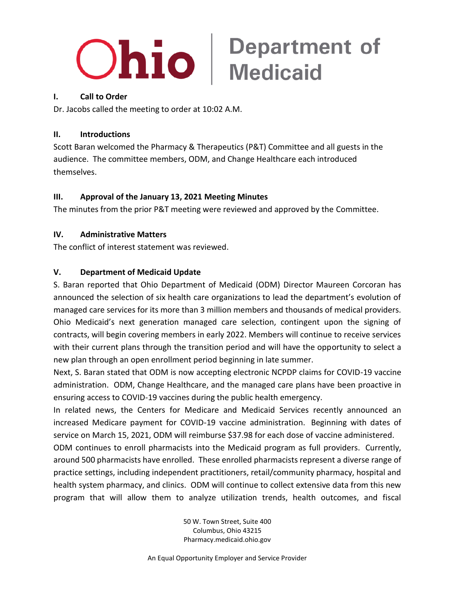

# Ohio Bepartment of

#### **I. Call to Order**

Dr. Jacobs called the meeting to order at 10:02 A.M.

#### **II. Introductions**

Scott Baran welcomed the Pharmacy & Therapeutics (P&T) Committee and all guests in the audience. The committee members, ODM, and Change Healthcare each introduced themselves.

#### **III. Approval of the January 13, 2021 Meeting Minutes**

The minutes from the prior P&T meeting were reviewed and approved by the Committee.

#### **IV. Administrative Matters**

The conflict of interest statement was reviewed.

#### **V. Department of Medicaid Update**

S. Baran reported that Ohio Department of Medicaid (ODM) Director Maureen Corcoran has announced the selection of six health care organizations to lead the department's evolution of managed care services for its more than 3 million members and thousands of medical providers. Ohio Medicaid's next generation managed care selection, contingent upon the signing of contracts, will begin covering members in early 2022. Members will continue to receive services with their current plans through the transition period and will have the opportunity to select a new plan through an open enrollment period beginning in late summer.

Next, S. Baran stated that ODM is now accepting electronic NCPDP claims for COVID-19 vaccine administration. ODM, Change Healthcare, and the managed care plans have been proactive in ensuring access to COVID-19 vaccines during the public health emergency.

In related news, the Centers for Medicare and Medicaid Services recently announced an increased Medicare payment for COVID-19 vaccine administration. Beginning with dates of service on March 15, 2021, ODM will reimburse \$37.98 for each dose of vaccine administered.

ODM continues to enroll pharmacists into the Medicaid program as full providers. Currently, around 500 pharmacists have enrolled. These enrolled pharmacists represent a diverse range of practice settings, including independent practitioners, retail/community pharmacy, hospital and health system pharmacy, and clinics. ODM will continue to collect extensive data from this new program that will allow them to analyze utilization trends, health outcomes, and fiscal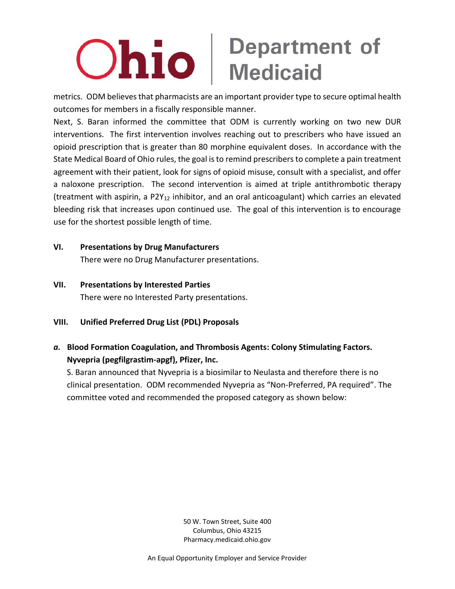# **Ohio** Department of

metrics. ODM believes that pharmacists are an important provider type to secure optimal health outcomes for members in a fiscally responsible manner.

Next, S. Baran informed the committee that ODM is currently working on two new DUR interventions. The first intervention involves reaching out to prescribers who have issued an opioid prescription that is greater than 80 morphine equivalent doses. In accordance with the State Medical Board of Ohio rules, the goal is to remind prescribers to complete a pain treatment agreement with their patient, look for signs of opioid misuse, consult with a specialist, and offer a naloxone prescription. The second intervention is aimed at triple antithrombotic therapy (treatment with aspirin, a  $P2Y_{12}$  inhibitor, and an oral anticoagulant) which carries an elevated bleeding risk that increases upon continued use. The goal of this intervention is to encourage use for the shortest possible length of time.

**VI. Presentations by Drug Manufacturers**

There were no Drug Manufacturer presentations.

**VII. Presentations by Interested Parties** There were no Interested Party presentations.

#### **VIII. Unified Preferred Drug List (PDL) Proposals**

### *a.* **Blood Formation Coagulation, and Thrombosis Agents: Colony Stimulating Factors. Nyvepria (pegfilgrastim-apgf), Pfizer, Inc.**

S. Baran announced that Nyvepria is a biosimilar to Neulasta and therefore there is no clinical presentation. ODM recommended Nyvepria as "Non-Preferred, PA required". The committee voted and recommended the proposed category as shown below:

> 50 W. Town Street, Suite 400 Columbus, Ohio 43215 Pharmacy.medicaid.ohio.gov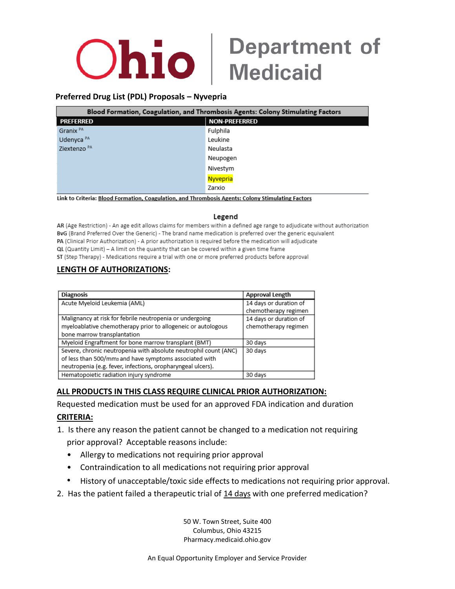

# **Ohio** Bepartment of

#### **Preferred Drug List (PDL) Proposals – Nyvepria**

| Blood Formation, Coagulation, and Thrombosis Agents: Colony Stimulating Factors |               |  |
|---------------------------------------------------------------------------------|---------------|--|
| <b>PREFERRED</b>                                                                | NON-PREFERRED |  |
| Granix <sup>PA</sup>                                                            | Fulphila      |  |
| Udenyca <sup>PA</sup>                                                           | Leukine       |  |
| Ziextenzo <sup>PA</sup>                                                         | Neulasta      |  |
|                                                                                 | Neupogen      |  |
|                                                                                 | Nivestym      |  |
|                                                                                 | Nyvepria      |  |
|                                                                                 | Zarxio        |  |

Link to Criteria: Blood Formation, Coagulation, and Thrombosis Agents: Colony Stimulating Factors

#### Legend

AR (Age Restriction) - An age edit allows claims for members within a defined age range to adjudicate without authorization BvG (Brand Preferred Over the Generic) - The brand name medication is preferred over the generic equivalent PA (Clinical Prior Authorization) - A prior authorization is required before the medication will adjudicate QL (Quantity Limit) - A limit on the quantity that can be covered within a given time frame ST (Step Therapy) - Medications require a trial with one or more preferred products before approval

#### **LENGTH OF AUTHORIZATIONS:**

| <b>Diagnosis</b>                                                 | Approval Length        |
|------------------------------------------------------------------|------------------------|
| Acute Myeloid Leukemia (AML)                                     | 14 days or duration of |
|                                                                  | chemotherapy regimen   |
| Malignancy at risk for febrile neutropenia or undergoing         | 14 days or duration of |
| myeloablative chemotherapy prior to allogeneic or autologous     | chemotherapy regimen   |
| bone marrow transplantation                                      |                        |
| Myeloid Engraftment for bone marrow transplant (BMT)             | 30 days                |
| Severe, chronic neutropenia with absolute neutrophil count (ANC) | 30 days                |
| of less than 500/mms and have symptoms associated with           |                        |
| neutropenia (e.g. fever, infections, oropharyngeal ulcers).      |                        |
| Hematopoietic radiation injury syndrome                          | 30 days                |

#### **ALL PRODUCTS IN THIS CLASS REQUIRE CLINICAL PRIOR AUTHORIZATION:**

Requested medication must be used for an approved FDA indication and duration

#### **CRITERIA:**

1. Is there any reason the patient cannot be changed to a medication not requiring

prior approval? Acceptable reasons include:

- Allergy to medications not requiring prior approval
- Contraindication to all medications not requiring prior approval
- History of unacceptable/toxic side effects to medications not requiring prior approval.
- 2. Has the patient failed a therapeutic trial of 14 days with one preferred medication?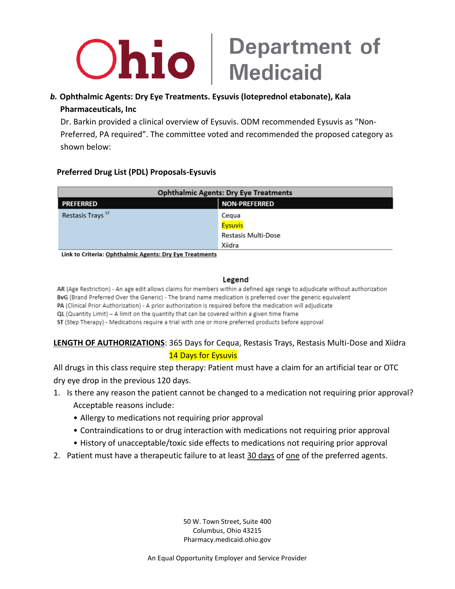

### *b.* **Ophthalmic Agents: Dry Eye Treatments. Eysuvis (loteprednol etabonate), Kala Pharmaceuticals, Inc**

Dr. Barkin provided a clinical overview of Eysuvis. ODM recommended Eysuvis as "Non-Preferred, PA required". The committee voted and recommended the proposed category as shown below:

#### **Preferred Drug List (PDL) Proposals-Eysuvis**

| <b>Ophthalmic Agents: Dry Eye Treatments</b> |                            |
|----------------------------------------------|----------------------------|
| <b>PREFERRED</b>                             | NON-PREFERRED              |
| Restasis Trays ST                            | Cegua<br><b>Eysuvis</b>    |
|                                              | <b>Restasis Multi-Dose</b> |
|                                              | Xiidra                     |

Link to Criteria: Ophthalmic Agents: Dry Eye Treatments

#### Legend

AR (Age Restriction) - An age edit allows claims for members within a defined age range to adjudicate without authorization BvG (Brand Preferred Over the Generic) - The brand name medication is preferred over the generic equivalent PA (Clinical Prior Authorization) - A prior authorization is required before the medication will adjudicate QL (Quantity Limit) - A limit on the quantity that can be covered within a given time frame ST (Step Therapy) - Medications require a trial with one or more preferred products before approval

#### **LENGTH OF AUTHORIZATIONS**: 365 Days for Cequa, Restasis Trays, Restasis Multi-Dose and Xiidra 14 Days for Eysuvis

All drugs in this class require step therapy: Patient must have a claim for an artificial tear or OTC dry eye drop in the previous 120 days.

- 1. Is there any reason the patient cannot be changed to a medication not requiring prior approval? Acceptable reasons include:
	- Allergy to medications not requiring prior approval
	- Contraindications to or drug interaction with medications not requiring prior approval
	- History of unacceptable/toxic side effects to medications not requiring prior approval
- 2. Patient must have a therapeutic failure to at least 30 days of one of the preferred agents.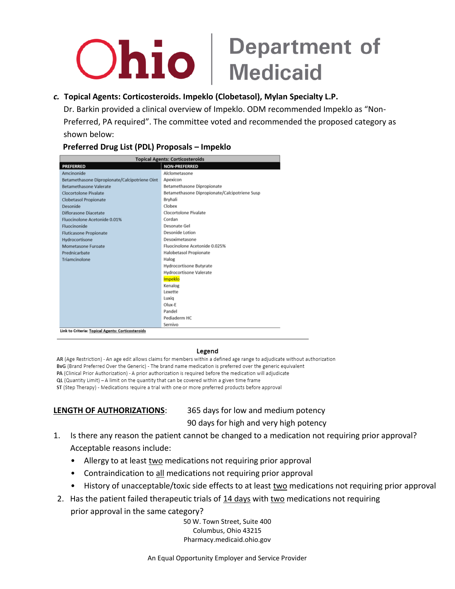# **Ohio** Medicaid

#### *c.* **Topical Agents: Corticosteroids. Impeklo (Clobetasol), Mylan Specialty L.P.**

Dr. Barkin provided a clinical overview of Impeklo. ODM recommended Impeklo as "Non-Preferred, PA required". The committee voted and recommended the proposed category as shown below:

#### **Preferred Drug List (PDL) Proposals – Impeklo**

| <b>Topical Agents: Corticosteroids</b>            |                                               |  |
|---------------------------------------------------|-----------------------------------------------|--|
| <b>PREFERRED</b>                                  | <b>NON-PREFERRED</b>                          |  |
| Amcinonide                                        | Alclometasone                                 |  |
| Betamethasone Dipropionate/Calcipotriene Oint     | Apexicon                                      |  |
| <b>Betamethasone Valerate</b>                     | Betamethasone Dipropionate                    |  |
| Clocortolone Pivalate                             | Betamethasone Dipropionate/Calcipotriene Susp |  |
| <b>Clobetasol Propionate</b>                      | Bryhali                                       |  |
| Desonide                                          | Clobex                                        |  |
| Diflorasone Diacetate                             | Clocortolone Pivalate                         |  |
| Fluocinolone Acetonide 0.01%                      | Cordan                                        |  |
| Fluocinonide                                      | Desonate Gel                                  |  |
| <b>Fluticasone Propionate</b>                     | Desonide Lotion                               |  |
| Hydrocortisone                                    | Desoximetasone                                |  |
| Mometasone Euroate                                | Fluocinolone Acetonide 0.025%                 |  |
| Prednicarbate                                     | Halobetasol Propionate                        |  |
| Triamcinolone                                     | Halog                                         |  |
|                                                   | Hydrocortisone Butyrate                       |  |
|                                                   | Hydrocortisone Valerate                       |  |
|                                                   | Impeklo                                       |  |
|                                                   | Kenalog                                       |  |
|                                                   | Lexette                                       |  |
|                                                   | Luxia                                         |  |
|                                                   | Olux-F                                        |  |
|                                                   | Pandel                                        |  |
|                                                   | Pediaderm HC                                  |  |
|                                                   | Sernivo                                       |  |
| Link to Criteria: Topical Agents: Corticosteroids |                                               |  |

#### Legend

AR (Age Restriction) - An age edit allows claims for members within a defined age range to adjudicate without authorization BvG (Brand Preferred Over the Generic) - The brand name medication is preferred over the generic equivalent PA (Clinical Prior Authorization) - A prior authorization is required before the medication will adjudicate QL (Quantity Limit) - A limit on the quantity that can be covered within a given time frame ST (Step Therapy) - Medications require a trial with one or more preferred products before approval

**LENGTH OF AUTHORIZATIONS**: 365 days for low and medium potency

90 days for high and very high potency

- 1. Is there any reason the patient cannot be changed to a medication not requiring prior approval? Acceptable reasons include:
	- Allergy to at least two medications not requiring prior approval
	- Contraindication to all medications not requiring prior approval
	- History of unacceptable/toxic side effects to at least two medications not requiring prior approval
- 2. Has the patient failed therapeutic trials of 14 days with two medications not requiring

prior approval in the same category?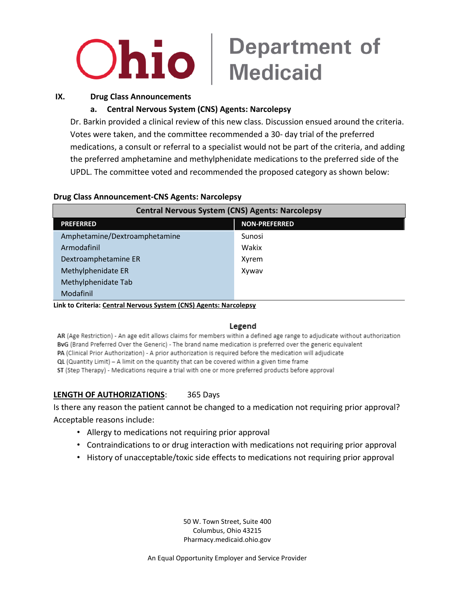

## $\mathbf{D}$   $\mathbf{ho}$  | Department of

#### **IX. Drug Class Announcements**

#### **a. Central Nervous System (CNS) Agents: Narcolepsy**

Dr. Barkin provided a clinical review of this new class. Discussion ensued around the criteria. Votes were taken, and the committee recommended a 30- day trial of the preferred medications, a consult or referral to a specialist would not be part of the criteria, and adding the preferred amphetamine and methylphenidate medications to the preferred side of the UPDL. The committee voted and recommended the proposed category as shown below:

#### **Drug Class Announcement-CNS Agents: Narcolepsy**

| <b>Central Nervous System (CNS) Agents: Narcolepsy</b> |                      |  |
|--------------------------------------------------------|----------------------|--|
| <b>PREFERRED</b>                                       | <b>NON-PREFERRED</b> |  |
| Amphetamine/Dextroamphetamine                          | Sunosi               |  |
| Armodafinil                                            | Wakix                |  |
| Dextroamphetamine ER                                   | Xyrem                |  |
| Methylphenidate ER                                     | Xyway                |  |
| Methylphenidate Tab                                    |                      |  |
| Modafinil                                              |                      |  |

**Link to Criteria: Central Nervous System (CNS) Agents: Narcolepsy**

#### Legend

AR (Age Restriction) - An age edit allows claims for members within a defined age range to adjudicate without authorization BvG (Brand Preferred Over the Generic) - The brand name medication is preferred over the generic equivalent PA (Clinical Prior Authorization) - A prior authorization is required before the medication will adjudicate QL (Quantity Limit) - A limit on the quantity that can be covered within a given time frame ST (Step Therapy) - Medications require a trial with one or more preferred products before approval

#### **LENGTH OF AUTHORIZATIONS**: 365 Days

Is there any reason the patient cannot be changed to a medication not requiring prior approval? Acceptable reasons include:

- Allergy to medications not requiring prior approval
- Contraindications to or drug interaction with medications not requiring prior approval
- History of unacceptable/toxic side effects to medications not requiring prior approval

50 W. Town Street, Suite 400 Columbus, Ohio 43215 Pharmacy.medicaid.ohio.gov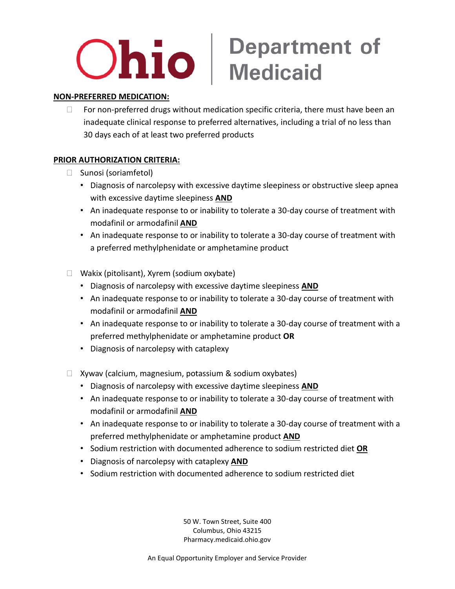# Ohio Bepartment of

#### **NON-PREFERRED MEDICATION:**

 $\Box$  For non-preferred drugs without medication specific criteria, there must have been an inadequate clinical response to preferred alternatives, including a trial of no less than 30 days each of at least two preferred products

#### **PRIOR AUTHORIZATION CRITERIA:**

- $\Box$  Sunosi (soriamfetol)
	- Diagnosis of narcolepsy with excessive daytime sleepiness or obstructive sleep apnea with excessive daytime sleepiness **AND**
	- An inadequate response to or inability to tolerate a 30-day course of treatment with modafinil or armodafinil **AND**
	- An inadequate response to or inability to tolerate a 30-day course of treatment with a preferred methylphenidate or amphetamine product
- □ Wakix (pitolisant), Xyrem (sodium oxybate)
	- Diagnosis of narcolepsy with excessive daytime sleepiness **AND**
	- An inadequate response to or inability to tolerate a 30-day course of treatment with modafinil or armodafinil **AND**
	- An inadequate response to or inability to tolerate a 30-day course of treatment with a preferred methylphenidate or amphetamine product **OR**
	- Diagnosis of narcolepsy with cataplexy
- $\Box$  Xywav (calcium, magnesium, potassium & sodium oxybates)
	- Diagnosis of narcolepsy with excessive daytime sleepiness **AND**
	- An inadequate response to or inability to tolerate a 30-day course of treatment with modafinil or armodafinil **AND**
	- An inadequate response to or inability to tolerate a 30-day course of treatment with a preferred methylphenidate or amphetamine product **AND**
	- Sodium restriction with documented adherence to sodium restricted diet **OR**
	- Diagnosis of narcolepsy with cataplexy **AND**
	- Sodium restriction with documented adherence to sodium restricted diet

50 W. Town Street, Suite 400 Columbus, Ohio 43215 Pharmacy.medicaid.ohio.gov